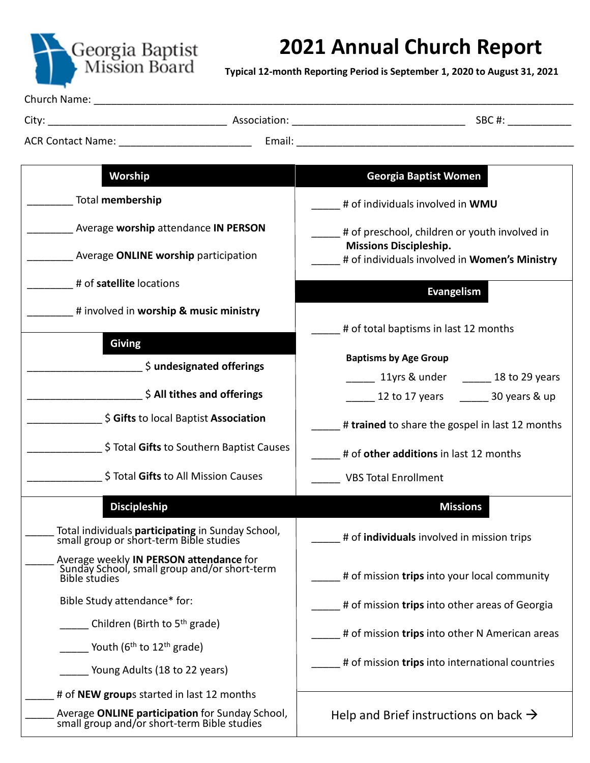

## 2021 Annual Church Report

|                                                                                                                 | <b>2021 Annual Church Report</b><br>Georgia Baptist<br>Mission Board<br>Typical 12-month Reporting Period is September 1, 2020 to August 31, 2021 |                                                                                |  |
|-----------------------------------------------------------------------------------------------------------------|---------------------------------------------------------------------------------------------------------------------------------------------------|--------------------------------------------------------------------------------|--|
|                                                                                                                 |                                                                                                                                                   |                                                                                |  |
|                                                                                                                 |                                                                                                                                                   |                                                                                |  |
|                                                                                                                 |                                                                                                                                                   |                                                                                |  |
| <b>Worship</b>                                                                                                  |                                                                                                                                                   | <b>Georgia Baptist Women</b>                                                   |  |
| Total membership                                                                                                |                                                                                                                                                   | # of individuals involved in WMU                                               |  |
| Average worship attendance IN PERSON<br>Average ONLINE worship participation                                    |                                                                                                                                                   | # of preschool, children or youth involved in                                  |  |
|                                                                                                                 |                                                                                                                                                   | <b>Missions Discipleship.</b><br># of individuals involved in Women's Ministry |  |
| # of satellite locations                                                                                        |                                                                                                                                                   |                                                                                |  |
| # involved in worship & music ministry                                                                          |                                                                                                                                                   | <b>Evangelism</b>                                                              |  |
|                                                                                                                 |                                                                                                                                                   | # of total baptisms in last 12 months                                          |  |
| <b>Giving</b>                                                                                                   |                                                                                                                                                   | <b>Baptisms by Age Group</b>                                                   |  |
| \$ undesignated offerings                                                                                       |                                                                                                                                                   | 11yrs & under 18 to 29 years                                                   |  |
| \$ All tithes and offerings                                                                                     |                                                                                                                                                   | 12 to 17 years 10 years & up                                                   |  |
| \$ Gifts to local Baptist Association                                                                           |                                                                                                                                                   | # trained to share the gospel in last 12 months                                |  |
| \$ Total Gifts to Southern Baptist Causes                                                                       |                                                                                                                                                   | # of other additions in last 12 months                                         |  |
| \$ Total Gifts to All Mission Causes                                                                            |                                                                                                                                                   | <b>VBS Total Enrollment</b>                                                    |  |
|                                                                                                                 |                                                                                                                                                   |                                                                                |  |
| <b>Discipleship</b>                                                                                             |                                                                                                                                                   | <b>Missions</b>                                                                |  |
| Total individuals participating in Sunday School,<br>small group or short-term Bible studies                    |                                                                                                                                                   | # of individuals involved in mission trips                                     |  |
| Average weekly IN PERSON attendance for<br>Sunday School, small group and/or short-term<br><b>Bible studies</b> |                                                                                                                                                   | # of mission trips into your local community                                   |  |
| Bible Study attendance* for:                                                                                    |                                                                                                                                                   | # of mission trips into other areas of Georgia                                 |  |
| Children (Birth to 5 <sup>th</sup> grade)                                                                       |                                                                                                                                                   | # of mission trips into other N American areas                                 |  |
| Youth (6 <sup>th</sup> to 12 <sup>th</sup> grade)<br>Young Adults (18 to 22 years)                              |                                                                                                                                                   |                                                                                |  |
|                                                                                                                 |                                                                                                                                                   | # of mission trips into international countries                                |  |
| # of <b>NEW group</b> s started in last 12 months                                                               |                                                                                                                                                   |                                                                                |  |
| Average ONLINE participation for Sunday School, small group and/or short-term Bible studies                     |                                                                                                                                                   | Help and Brief instructions on back $\rightarrow$                              |  |